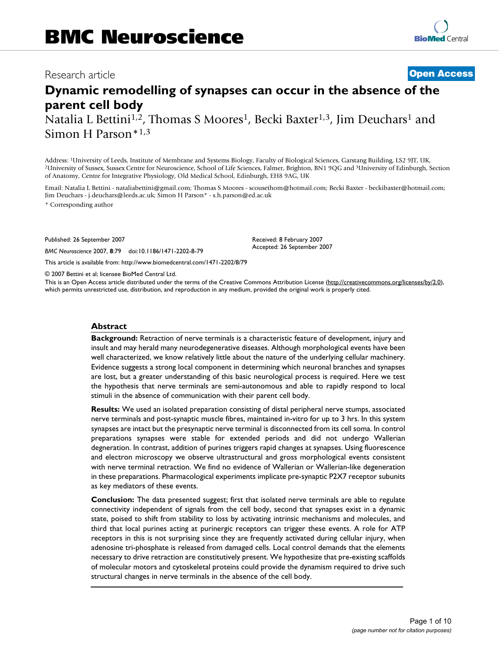## Research article **[Open Access](http://www.biomedcentral.com/info/about/charter/)**

# **Dynamic remodelling of synapses can occur in the absence of the parent cell body**

Natalia L Bettini<sup>1,2</sup>, Thomas S Moores<sup>1</sup>, Becki Baxter<sup>1,3</sup>, Jim Deuchars<sup>1</sup> and Simon H Parson\*1,3

Address: 1University of Leeds, Institute of Membrane and Systems Biology, Faculty of Biological Sciences, Garstang Building, LS2 9JT, UK, <sup>2</sup>University of Sussex, Sussex Centre for Neuroscience, School of Life Sciences, Falmer, Brighton, BN1 9QG and <sup>3</sup>University of Edinburgh, Section of Anatomy, Centre for Integrative Physiology, Old Medical School, Edinburgh, EH8 9AG, UK

Email: Natalia L Bettini - nataliabettini@gmail.com; Thomas S Moores - scousethom@hotmail.com; Becki Baxter - beckibaxter@hotmail.com; Jim Deuchars - j.deuchars@leeds.ac.uk; Simon H Parson\* - s.h.parson@ed.ac.uk

> Received: 8 February 2007 Accepted: 26 September 2007

\* Corresponding author

Published: 26 September 2007

*BMC Neuroscience* 2007, **8**:79 doi:10.1186/1471-2202-8-79

[This article is available from: http://www.biomedcentral.com/1471-2202/8/79](http://www.biomedcentral.com/1471-2202/8/79)

© 2007 Bettini et al; licensee BioMed Central Ltd.

This is an Open Access article distributed under the terms of the Creative Commons Attribution License [\(http://creativecommons.org/licenses/by/2.0\)](http://creativecommons.org/licenses/by/2.0), which permits unrestricted use, distribution, and reproduction in any medium, provided the original work is properly cited.

#### **Abstract**

**Background:** Retraction of nerve terminals is a characteristic feature of development, injury and insult and may herald many neurodegenerative diseases. Although morphological events have been well characterized, we know relatively little about the nature of the underlying cellular machinery. Evidence suggests a strong local component in determining which neuronal branches and synapses are lost, but a greater understanding of this basic neurological process is required. Here we test the hypothesis that nerve terminals are semi-autonomous and able to rapidly respond to local stimuli in the absence of communication with their parent cell body.

**Results:** We used an isolated preparation consisting of distal peripheral nerve stumps, associated nerve terminals and post-synaptic muscle fibres, maintained in-vitro for up to 3 hrs. In this system synapses are intact but the presynaptic nerve terminal is disconnected from its cell soma. In control preparations synapses were stable for extended periods and did not undergo Wallerian degneration. In contrast, addition of purines triggers rapid changes at synapses. Using fluorescence and electron microscopy we observe ultrastructural and gross morphological events consistent with nerve terminal retraction. We find no evidence of Wallerian or Wallerian-like degeneration in these preparations. Pharmacological experiments implicate pre-synaptic P2X7 receptor subunits as key mediators of these events.

**Conclusion:** The data presented suggest; first that isolated nerve terminals are able to regulate connectivity independent of signals from the cell body, second that synapses exist in a dynamic state, poised to shift from stability to loss by activating intrinsic mechanisms and molecules, and third that local purines acting at purinergic receptors can trigger these events. A role for ATP receptors in this is not surprising since they are frequently activated during cellular injury, when adenosine tri-phosphate is released from damaged cells. Local control demands that the elements necessary to drive retraction are constitutively present. We hypothesize that pre-existing scaffolds of molecular motors and cytoskeletal proteins could provide the dynamism required to drive such structural changes in nerve terminals in the absence of the cell body.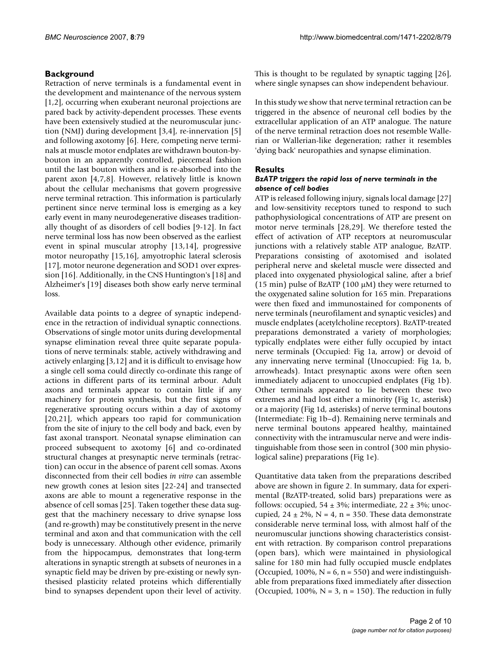### **Background**

Retraction of nerve terminals is a fundamental event in the development and maintenance of the nervous system [1,2], occurring when exuberant neuronal projections are pared back by activity-dependent processes. These events have been extensively studied at the neuromuscular junction (NMJ) during development [3,4], re-innervation [5] and following axotomy [6]. Here, competing nerve terminals at muscle motor endplates are withdrawn bouton-bybouton in an apparently controlled, piecemeal fashion until the last bouton withers and is re-absorbed into the parent axon [4,7,8]. However, relatively little is known about the cellular mechanisms that govern progressive nerve terminal retraction. This information is particularly pertinent since nerve terminal loss is emerging as a key early event in many neurodegenerative diseases traditionally thought of as disorders of cell bodies [9-12]. In fact nerve terminal loss has now been observed as the earliest event in spinal muscular atrophy [13,14], progressive motor neuropathy [15,16], amyotrophic lateral sclerosis [17], motor neurone degeneration and SOD1 over expression [16]. Additionally, in the CNS Huntington's [18] and Alzheimer's [19] diseases both show early nerve terminal loss.

Available data points to a degree of synaptic independence in the retraction of individual synaptic connections. Observations of single motor units during developmental synapse elimination reveal three quite separate populations of nerve terminals: stable, actively withdrawing and actively enlarging [3,12] and it is difficult to envisage how a single cell soma could directly co-ordinate this range of actions in different parts of its terminal arbour. Adult axons and terminals appear to contain little if any machinery for protein synthesis, but the first signs of regenerative sprouting occurs within a day of axotomy [20,21], which appears too rapid for communication from the site of injury to the cell body and back, even by fast axonal transport. Neonatal synapse elimination can proceed subsequent to axotomy [6] and co-ordinated structural changes at presynaptic nerve terminals (retraction) can occur in the absence of parent cell somas. Axons disconnected from their cell bodies *in vitro* can assemble new growth cones at lesion sites [22-24] and transected axons are able to mount a regenerative response in the absence of cell somas [25]. Taken together these data suggest that the machinery necessary to drive synapse loss (and re-growth) may be constitutively present in the nerve terminal and axon and that communication with the cell body is unnecessary. Although other evidence, primarily from the hippocampus, demonstrates that long-term alterations in synaptic strength at subsets of neurones in a synaptic field may be driven by pre-existing or newly synthesised plasticity related proteins which differentially bind to synapses dependent upon their level of activity.

This is thought to be regulated by synaptic tagging [26], where single synapses can show independent behaviour.

In this study we show that nerve terminal retraction can be triggered in the absence of neuronal cell bodies by the extracellular application of an ATP analogue. The nature of the nerve terminal retraction does not resemble Wallerian or Wallerian-like degeneration; rather it resembles 'dying back' neuropathies and synapse elimination.

#### **Results**

#### *BzATP triggers the rapid loss of nerve terminals in the absence of cell bodies*

ATP is released following injury, signals local damage [27] and low-sensitivity receptors tuned to respond to such pathophysiological concentrations of ATP are present on motor nerve terminals [28,29]. We therefore tested the effect of activation of ATP receptors at neuromuscular junctions with a relatively stable ATP analogue, BzATP. Preparations consisting of axotomised and isolated peripheral nerve and skeletal muscle were dissected and placed into oxygenated physiological saline, after a brief (15 min) pulse of BzATP (100 μM) they were returned to the oxygenated saline solution for 165 min. Preparations were then fixed and immunostained for components of nerve terminals (neurofilament and synaptic vesicles) and muscle endplates (acetylcholine receptors). BzATP-treated preparations demonstrated a variety of morphologies; typically endplates were either fully occupied by intact nerve terminals (Occupied: Fig 1a, arrow) or devoid of any innervating nerve terminal (Unoccupied: Fig 1a, b, arrowheads). Intact presynaptic axons were often seen immediately adjacent to unoccupied endplates (Fig 1b). Other terminals appeared to lie between these two extremes and had lost either a minority (Fig 1c, asterisk) or a majority (Fig 1d, asterisks) of nerve terminal boutons (Intermediate: Fig 1b–d). Remaining nerve terminals and nerve terminal boutons appeared healthy, maintained connectivity with the intramuscular nerve and were indistinguishable from those seen in control (300 min physiological saline) preparations (Fig 1e).

Quantitative data taken from the preparations described above are shown in figure 2. In summary, data for experimental (BzATP-treated, solid bars) preparations were as follows: occupied,  $54 \pm 3\%$ ; intermediate,  $22 \pm 3\%$ ; unoccupied,  $24 \pm 2\%$ , N = 4, n = 350. These data demonstrate considerable nerve terminal loss, with almost half of the neuromuscular junctions showing characteristics consistent with retraction. By comparison control preparations (open bars), which were maintained in physiological saline for 180 min had fully occupied muscle endplates (Occupied, 100%,  $N = 6$ ,  $n = 550$ ) and were indistinguishable from preparations fixed immediately after dissection (Occupied, 100%,  $N = 3$ ,  $n = 150$ ). The reduction in fully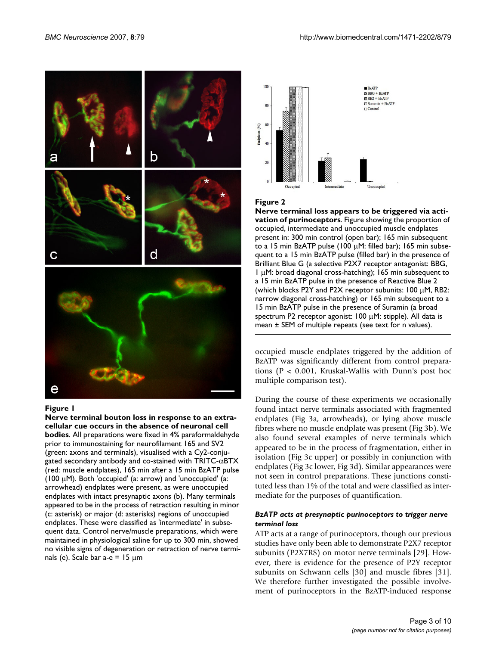

#### Figure 1

**Nerve terminal bouton loss in response to an extracellular cue occurs in the absence of neuronal cell bodies**. All preparations were fixed in 4% paraformaldehyde prior to immunostaining for neurofilament 165 and SV2 (green: axons and terminals), visualised with a Cy2-conjugated secondary antibody and co-stained with  $TRITC-\alpha BTX$ (red: muscle endplates), 165 min after a 15 min BzATP pulse (100  $\mu$ M). Both 'occupied' (a: arrow) and 'unoccupied' (a: arrowhead) endplates were present, as were unoccupied endplates with intact presynaptic axons (b). Many terminals appeared to be in the process of retraction resulting in minor (c: asterisk) or major (d: asterisks) regions of unoccupied endplates. These were classified as 'intermediate' in subsequent data. Control nerve/muscle preparations, which were maintained in physiological saline for up to 300 min, showed no visible signs of degeneration or retraction of nerve terminals (e). Scale bar  $a-e = 15 \mu m$ 



#### Figure 2

**Nerve terminal loss appears to be triggered via activation of purinoceptors**. Figure showing the proportion of occupied, intermediate and unoccupied muscle endplates present in: 300 min control (open bar); 165 min subsequent to a 15 min BzATP pulse (100 μM: filled bar); 165 min subsequent to a 15 min BzATP pulse (filled bar) in the presence of Brilliant Blue G (a selective P2X7 receptor antagonist: BBG, 1 μM: broad diagonal cross-hatching); 165 min subsequent to a 15 min BzATP pulse in the presence of Reactive Blue 2 (which blocks P2Y and P2X receptor subunits: 100 μM, RB2: narrow diagonal cross-hatching) or 165 min subsequent to a 15 min BzATP pulse in the presence of Suramin (a broad spectrum P2 receptor agonist: 100 μM: stipple). All data is mean ± SEM of multiple repeats (see text for n values).

occupied muscle endplates triggered by the addition of BzATP was significantly different from control preparations (P < 0.001, Kruskal-Wallis with Dunn's post hoc multiple comparison test).

During the course of these experiments we occasionally found intact nerve terminals associated with fragmented endplates (Fig 3a, arrowheads), or lying above muscle fibres where no muscle endplate was present (Fig 3b). We also found several examples of nerve terminals which appeared to be in the process of fragmentation, either in isolation (Fig 3c upper) or possibly in conjunction with endplates (Fig 3c lower, Fig 3d). Similar appearances were not seen in control preparations. These junctions constituted less than 1% of the total and were classified as intermediate for the purposes of quantification.

#### *BzATP acts at presynaptic purinoceptors to trigger nerve terminal loss*

ATP acts at a range of purinoceptors, though our previous studies have only been able to demonstrate P2X7 receptor subunits (P2X7RS) on motor nerve terminals [29]. However, there is evidence for the presence of P2Y receptor subunits on Schwann cells [30] and muscle fibres [31]. We therefore further investigated the possible involvement of purinoceptors in the BzATP-induced response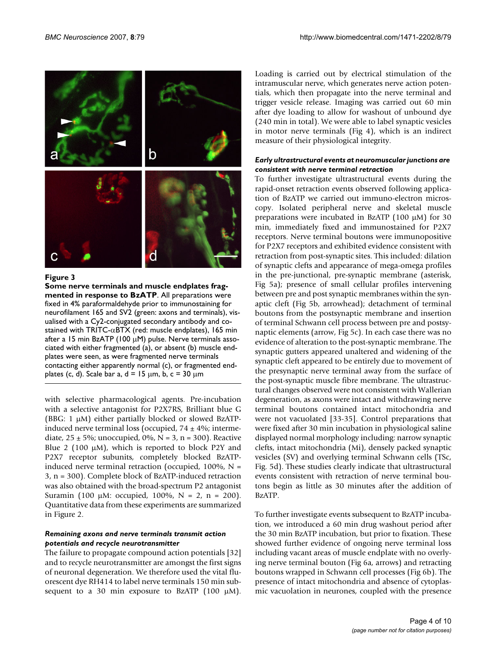

#### **Figure 3**

**Some nerve terminals and muscle endplates fragmented in response to BzATP**. All preparations were fixed in 4% paraformaldehyde prior to immunostaining for neurofilament 165 and SV2 (green: axons and terminals), visualised with a Cy2-conjugated secondary antibody and costained with TRITC- $\alpha$ BTX (red: muscle endplates), 165 min after a 15 min BzATP (100  $\mu$ M) pulse. Nerve terminals associated with either fragmented (a), or absent (b) muscle endplates were seen, as were fragmented nerve terminals contacting either apparently normal (c), or fragmented endplates (c, d). Scale bar a,  $d = 15 \mu m$ , b,  $c = 30 \mu m$ 

with selective pharmacological agents. Pre-incubation with a selective antagonist for P2X7RS, Brilliant blue G (BBG: 1 μM) either partially blocked or slowed BzATPinduced nerve terminal loss (occupied,  $74 \pm 4\%$ ; intermediate,  $25 \pm 5\%$ ; unoccupied, 0%, N = 3, n = 300). Reactive Blue 2 (100 μM), which is reported to block P2Y and P2X7 receptor subunits, completely blocked BzATPinduced nerve terminal retraction (occupied,  $100\%$ , N = 3, n = 300). Complete block of BzATP-induced retraction was also obtained with the broad-spectrum P2 antagonist Suramin (100 μM: occupied, 100%, N = 2, n = 200). Quantitative data from these experiments are summarized in Figure 2.

#### *Remaining axons and nerve terminals transmit action potentials and recycle neurotransmitter*

The failure to propagate compound action potentials [32] and to recycle neurotransmitter are amongst the first signs of neuronal degeneration. We therefore used the vital fluorescent dye RH414 to label nerve terminals 150 min subsequent to a 30 min exposure to BzATP  $(100 \mu M)$ . Loading is carried out by electrical stimulation of the intramuscular nerve, which generates nerve action potentials, which then propagate into the nerve terminal and trigger vesicle release. Imaging was carried out 60 min after dye loading to allow for washout of unbound dye (240 min in total). We were able to label synaptic vesicles in motor nerve terminals (Fig 4), which is an indirect measure of their physiological integrity.

#### *Early ultrastructural events at neuromuscular junctions are consistent with nerve terminal retraction*

To further investigate ultrastructural events during the rapid-onset retraction events observed following application of BzATP we carried out immuno-electron microscopy. Isolated peripheral nerve and skeletal muscle preparations were incubated in BzATP (100 μM) for 30 min, immediately fixed and immunostained for P2X7 receptors. Nerve terminal boutons were immunopositive for P2X7 receptors and exhibited evidence consistent with retraction from post-synaptic sites. This included: dilation of synaptic clefts and appearance of mega-omega profiles in the pre-junctional, pre-synaptic membrane (asterisk, Fig 5a); presence of small cellular profiles intervening between pre and post synaptic membranes within the synaptic cleft (Fig 5b, arrowhead); detachment of terminal boutons from the postsynaptic membrane and insertion of terminal Schwann cell process between pre and postsynaptic elements (arrow, Fig 5c). In each case there was no evidence of alteration to the post-synaptic membrane. The synaptic gutters appeared unaltered and widening of the synaptic cleft appeared to be entirely due to movement of the presynaptic nerve terminal away from the surface of the post-synaptic muscle fibre membrane. The ultrastructural changes observed were not consistent with Wallerian degeneration, as axons were intact and withdrawing nerve terminal boutons contained intact mitochondria and were not vacuolated [33-35]. Control preparations that were fixed after 30 min incubation in physiological saline displayed normal morphology including: narrow synaptic clefts, intact mitochondria (Mi), densely packed synaptic vesicles (SV) and overlying terminal Schwann cells (TSc, Fig. 5d). These studies clearly indicate that ultrastructural events consistent with retraction of nerve terminal boutons begin as little as 30 minutes after the addition of BzATP.

To further investigate events subsequent to BzATP incubation, we introduced a 60 min drug washout period after the 30 min BzATP incubation, but prior to fixation. These showed further evidence of ongoing nerve terminal loss including vacant areas of muscle endplate with no overlying nerve terminal bouton (Fig 6a, arrows) and retracting boutons wrapped in Schwann cell processes (Fig 6b). The presence of intact mitochondria and absence of cytoplasmic vacuolation in neurones, coupled with the presence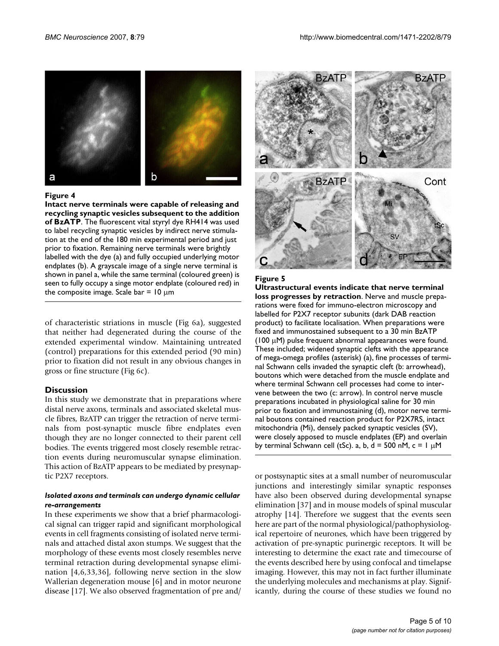

#### Figure 4

**Intact nerve terminals were capable of releasing and recycling synaptic vesicles subsequent to the addition of BzATP**. The fluorescent vital styryl dye RH414 was used to label recycling synaptic vesicles by indirect nerve stimulation at the end of the 180 min experimental period and just prior to fixation. Remaining nerve terminals were brightly labelled with the dye (a) and fully occupied underlying motor endplates (b). A grayscale image of a single nerve terminal is shown in panel a, while the same terminal (coloured green) is seen to fully occupy a singe motor endplate (coloured red) in the composite image. Scale bar =  $10 \mu m$ 

of characteristic striations in muscle (Fig 6a), suggested that neither had degenerated during the course of the extended experimental window. Maintaining untreated (control) preparations for this extended period (90 min) prior to fixation did not result in any obvious changes in gross or fine structure (Fig 6c).

#### **Discussion**

In this study we demonstrate that in preparations where distal nerve axons, terminals and associated skeletal muscle fibres, BzATP can trigger the retraction of nerve terminals from post-synaptic muscle fibre endplates even though they are no longer connected to their parent cell bodies. The events triggered most closely resemble retraction events during neuromuscular synapse elimination. This action of BzATP appears to be mediated by presynaptic P2X7 receptors.

#### *Isolated axons and terminals can undergo dynamic cellular re-arrangements*

In these experiments we show that a brief pharmacological signal can trigger rapid and significant morphological events in cell fragments consisting of isolated nerve terminals and attached distal axon stumps. We suggest that the morphology of these events most closely resembles nerve terminal retraction during developmental synapse elimination [4,6,33,36], following nerve section in the slow Wallerian degeneration mouse [6] and in motor neurone disease [17]. We also observed fragmentation of pre and/



#### Figure 5

**Ultrastructural events indicate that nerve terminal loss progresses by retraction**. Nerve and muscle preparations were fixed for immuno-electron microscopy and labelled for P2X7 receptor subunits (dark DAB reaction product) to facilitate localisation. When preparations were fixed and immunostained subsequent to a 30 min BzATP (100 μM) pulse frequent abnormal appearances were found. These included; widened synaptic clefts with the appearance of mega-omega profiles (asterisk) (a), fine processes of terminal Schwann cells invaded the synaptic cleft (b: arrowhead), boutons which were detached from the muscle endplate and where terminal Schwann cell processes had come to intervene between the two (c: arrow). In control nerve muscle preparations incubated in physiological saline for 30 min prior to fixation and immunostaining (d), motor nerve terminal boutons contained reaction product for P2X7RS, intact mitochondria (Mi), densely packed synaptic vesicles (SV), were closely apposed to muscle endplates (EP) and overlain by terminal Schwann cell (tSc). a, b,  $d = 500$  nM,  $c = 1 \mu$ M

or postsynaptic sites at a small number of neuromuscular junctions and interestingly similar synaptic responses have also been observed during developmental synapse elimination [37] and in mouse models of spinal muscular atrophy [14]. Therefore we suggest that the events seen here are part of the normal physiological/pathophysiological repertoire of neurones, which have been triggered by activation of pre-synaptic purinergic receptors. It will be interesting to determine the exact rate and timecourse of the events described here by using confocal and timelapse imaging. However, this may not in fact further illuminate the underlying molecules and mechanisms at play. Significantly, during the course of these studies we found no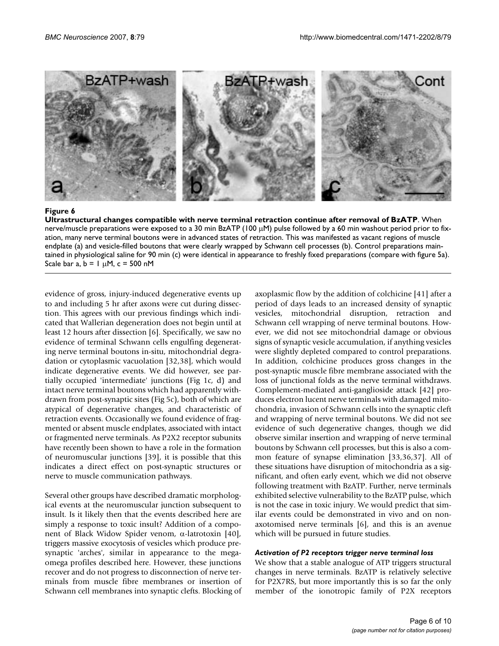

Ultrastructural changes compatible **Figure 6** with nerve terminal retraction continue after removal of BzATP **Ultrastructural changes compatible with nerve terminal retraction continue after removal of BzATP**. When nerve/muscle preparations were exposed to a 30 min BzATP (100 μM) pulse followed by a 60 min washout period prior to fixation, many nerve terminal boutons were in advanced states of retraction. This was manifested as vacant regions of muscle endplate (a) and vesicle-filled boutons that were clearly wrapped by Schwann cell processes (b). Control preparations maintained in physiological saline for 90 min (c) were identical in appearance to freshly fixed preparations (compare with figure 5a). Scale bar a,  $b = 1 \mu M$ , c = 500 nM

evidence of gross, injury-induced degenerative events up to and including 5 hr after axons were cut during dissection. This agrees with our previous findings which indicated that Wallerian degeneration does not begin until at least 12 hours after dissection [6]. Specifically, we saw no evidence of terminal Schwann cells engulfing degenerating nerve terminal boutons in-situ, mitochondrial degradation or cytoplasmic vacuolation [32,38], which would indicate degenerative events. We did however, see partially occupied 'intermediate' junctions (Fig 1c, d) and intact nerve terminal boutons which had apparently withdrawn from post-synaptic sites (Fig 5c), both of which are atypical of degenerative changes, and characteristic of retraction events. Occasionally we found evidence of fragmented or absent muscle endplates, associated with intact or fragmented nerve terminals. As P2X2 receptor subunits have recently been shown to have a role in the formation of neuromuscular junctions [39], it is possible that this indicates a direct effect on post-synaptic structures or nerve to muscle communication pathways.

Several other groups have described dramatic morphological events at the neuromuscular junction subsequent to insult. Is it likely then that the events described here are simply a response to toxic insult? Addition of a component of Black Widow Spider venom, α-latrotoxin [40], triggers massive exocytosis of vesicles which produce presynaptic 'arches', similar in appearance to the megaomega profiles described here. However, these junctions recover and do not progress to disconnection of nerve terminals from muscle fibre membranes or insertion of Schwann cell membranes into synaptic clefts. Blocking of axoplasmic flow by the addition of colchicine [41] after a period of days leads to an increased density of synaptic vesicles, mitochondrial disruption, retraction and Schwann cell wrapping of nerve terminal boutons. However, we did not see mitochondrial damage or obvious signs of synaptic vesicle accumulation, if anything vesicles were slightly depleted compared to control preparations. In addition, colchicine produces gross changes in the post-synaptic muscle fibre membrane associated with the loss of junctional folds as the nerve terminal withdraws. Complement-mediated anti-ganglioside attack [42] produces electron lucent nerve terminals with damaged mitochondria, invasion of Schwann cells into the synaptic cleft and wrapping of nerve terminal boutons. We did not see evidence of such degenerative changes, though we did observe similar insertion and wrapping of nerve terminal boutons by Schwann cell processes, but this is also a common feature of synapse elimination [33,36,37]. All of these situations have disruption of mitochondria as a significant, and often early event, which we did not observe following treatment with BzATP. Further, nerve terminals exhibited selective vulnerability to the BzATP pulse, which is not the case in toxic injury. We would predict that similar events could be demonstrated in vivo and on nonaxotomised nerve terminals [6], and this is an avenue which will be pursued in future studies.

#### *Activation of P2 receptors trigger nerve terminal loss*

We show that a stable analogue of ATP triggers structural changes in nerve terminals. BzATP is relatively selective for P2X7RS, but more importantly this is so far the only member of the ionotropic family of P2X receptors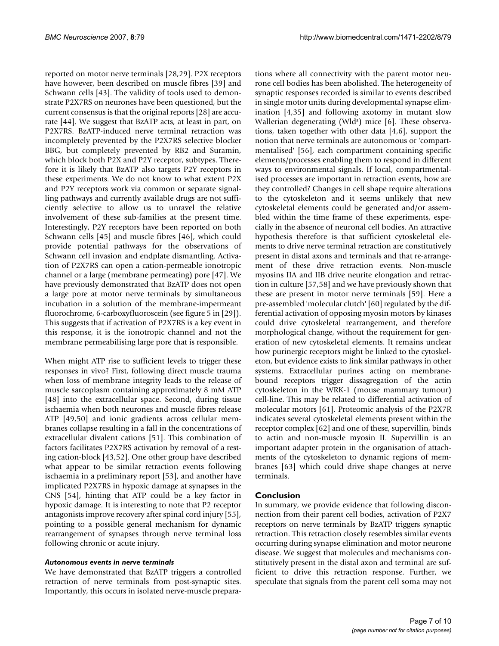reported on motor nerve terminals [28,29]. P2X receptors have however, been described on muscle fibres [39] and Schwann cells [43]. The validity of tools used to demonstrate P2X7RS on neurones have been questioned, but the current consensus is that the original reports [28] are accurate [44]. We suggest that BzATP acts, at least in part, on P2X7RS. BzATP-induced nerve terminal retraction was incompletely prevented by the P2X7RS selective blocker BBG, but completely prevented by RB2 and Suramin, which block both P2X and P2Y receptor, subtypes. Therefore it is likely that BzATP also targets P2Y receptors in these experiments. We do not know to what extent P2X and P2Y receptors work via common or separate signalling pathways and currently available drugs are not sufficiently selective to allow us to unravel the relative involvement of these sub-families at the present time. Interestingly, P2Y receptors have been reported on both Schwann cells [45] and muscle fibres [46], which could provide potential pathways for the observations of Schwann cell invasion and endplate dismantling. Activation of P2X7RS can open a cation-permeable ionotropic channel or a large (membrane permeating) pore [47]. We have previously demonstrated that BzATP does not open a large pore at motor nerve terminals by simultaneous incubation in a solution of the membrane-impermeant fluorochrome, 6-carboxyfluoroscein (see figure 5 in [29]). This suggests that if activation of P2X7RS is a key event in this response, it is the ionotropic channel and not the membrane permeabilising large pore that is responsible.

When might ATP rise to sufficient levels to trigger these responses in vivo? First, following direct muscle trauma when loss of membrane integrity leads to the release of muscle sarcoplasm containing approximately 8 mM ATP [48] into the extracellular space. Second, during tissue ischaemia when both neurones and muscle fibres release ATP [49,50] and ionic gradients across cellular membranes collapse resulting in a fall in the concentrations of extracellular divalent cations [51]. This combination of factors facilitates P2X7RS activation by removal of a resting cation-block [43,52]. One other group have described what appear to be similar retraction events following ischaemia in a preliminary report [53], and another have implicated P2X7RS in hypoxic damage at synapses in the CNS [54], hinting that ATP could be a key factor in hypoxic damage. It is interesting to note that P2 receptor antagonists improve recovery after spinal cord injury [55], pointing to a possible general mechanism for dynamic rearrangement of synapses through nerve terminal loss following chronic or acute injury.

#### *Autonomous events in nerve terminals*

We have demonstrated that BzATP triggers a controlled retraction of nerve terminals from post-synaptic sites. Importantly, this occurs in isolated nerve-muscle preparations where all connectivity with the parent motor neurone cell bodies has been abolished. The heterogeneity of synaptic responses recorded is similar to events described in single motor units during developmental synapse elimination [4,35] and following axotomy in mutant slow Wallerian degenerating (Wld<sup>s</sup>) mice [6]. These observations, taken together with other data [4,6], support the notion that nerve terminals are autonomous or 'compartmentalised' [56], each compartment containing specific elements/processes enabling them to respond in different ways to environmental signals. If local, compartmentalised processes are important in retraction events, how are they controlled? Changes in cell shape require alterations to the cytoskeleton and it seems unlikely that new cytoskeletal elements could be generated and/or assembled within the time frame of these experiments, especially in the absence of neuronal cell bodies. An attractive hypothesis therefore is that sufficient cytoskeletal elements to drive nerve terminal retraction are constitutively present in distal axons and terminals and that re-arrangement of these drive retraction events. Non-muscle myosins IIA and IIB drive neurite elongation and retraction in culture [57,58] and we have previously shown that these are present in motor nerve terminals [59]. Here a pre-assembled 'molecular clutch' [60] regulated by the differential activation of opposing myosin motors by kinases could drive cytoskeletal rearrangement, and therefore morphological change, without the requirement for generation of new cytoskeletal elements. It remains unclear how purinergic receptors might be linked to the cytoskeleton, but evidence exists to link similar pathways in other systems. Extracellular purines acting on membranebound receptors trigger dissagregation of the actin cytoskeleton in the WRK-1 (mouse mammary tumour) cell-line. This may be related to differential activation of molecular motors [61]. Proteomic analysis of the P2X7R indicates several cytoskeletal elements present within the receptor complex [62] and one of these, supervillin, binds to actin and non-muscle myosin II. Supervillin is an important adapter protein in the organisation of attachments of the cytoskeleton to dynamic regions of membranes [63] which could drive shape changes at nerve terminals.

#### **Conclusion**

In summary, we provide evidence that following disconnection from their parent cell bodies, activation of P2X7 receptors on nerve terminals by BzATP triggers synaptic retraction. This retraction closely resembles similar events occurring during synapse elimination and motor neurone disease. We suggest that molecules and mechanisms constitutively present in the distal axon and terminal are sufficient to drive this retraction response. Further, we speculate that signals from the parent cell soma may not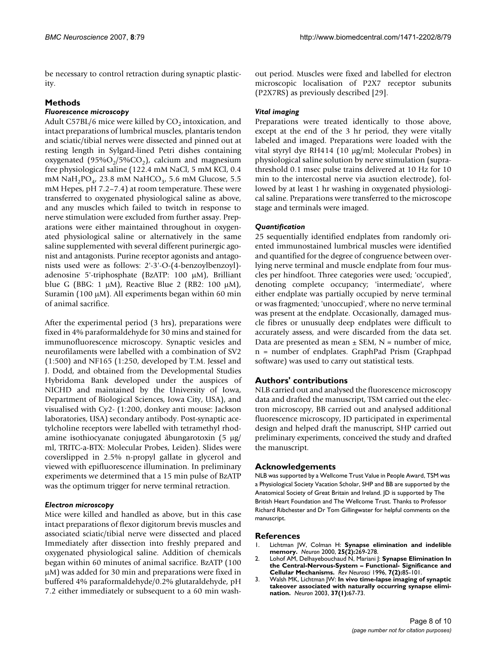be necessary to control retraction during synaptic plasticity.

#### **Methods**

#### *Fluorescence microscopy*

Adult C57BL/6 mice were killed by  $CO<sub>2</sub>$  intoxication, and intact preparations of lumbrical muscles, plantaris tendon and sciatic/tibial nerves were dissected and pinned out at resting length in Sylgard-lined Petri dishes containing oxygenated  $(95\%O<sub>2</sub>/5\%CO<sub>2</sub>)$ , calcium and magnesium free physiological saline (122.4 mM NaCl, 5 mM KCl, 0.4 mM NaH<sub>2</sub>PO<sub>4</sub>, 23.8 mM NaHCO<sub>3</sub>, 5.6 mM Glucose, 5.5 mM Hepes, pH 7.2–7.4) at room temperature. These were transferred to oxygenated physiological saline as above, and any muscles which failed to twitch in response to nerve stimulation were excluded from further assay. Preparations were either maintained throughout in oxygenated physiological saline or alternatively in the same saline supplemented with several different purinergic agonist and antagonists. Purine receptor agonists and antagonists used were as follows: 2'-3'-O-(4-benzoylbenzoyl) adenosine 5'-triphosphate (BzATP: 100 μM), Brilliant blue G (BBG: 1 μM), Reactive Blue 2 (RB2: 100 μM), Suramin (100 μM). All experiments began within 60 min of animal sacrifice.

After the experimental period (3 hrs), preparations were fixed in 4% paraformaldehyde for 30 mins and stained for immunofluorescence microscopy. Synaptic vesicles and neurofilaments were labelled with a combination of SV2 (1:500) and NF165 (1:250, developed by T.M. Jessel and J. Dodd, and obtained from the Developmental Studies Hybridoma Bank developed under the auspices of NICHD and maintained by the University of Iowa, Department of Biological Sciences, Iowa City, USA), and visualised with Cy2- (1:200, donkey anti mouse: Jackson laboratories, USA) secondary antibody. Post-synaptic acetylcholine receptors were labelled with tetramethyl rhodamine isothiocyanate conjugated ãbungarotoxin (5 μg/ ml, TRITC-a-BTX: Molecular Probes, Leiden). Slides were coverslipped in 2.5% n-propyl gallate in glycerol and viewed with epifluorescence illumination. In preliminary experiments we determined that a 15 min pulse of BzATP was the optimum trigger for nerve terminal retraction.

#### *Electron microscopy*

Mice were killed and handled as above, but in this case intact preparations of flexor digitorum brevis muscles and associated sciatic/tibial nerve were dissected and placed Immediately after dissection into freshly prepared and oxygenated physiological saline. Addition of chemicals began within 60 minutes of animal sacrifice. BzATP (100 μM) was added for 30 min and preparations were fixed in buffered 4% paraformaldehyde/0.2% glutaraldehyde, pH 7.2 either immediately or subsequent to a 60 min washout period. Muscles were fixed and labelled for electron microscopic localisation of P2X7 receptor subunits (P2X7RS) as previously described [29].

#### *Vital imaging*

Preparations were treated identically to those above, except at the end of the 3 hr period, they were vitally labeled and imaged. Preparations were loaded with the vital styryl dye RH414 (10 μg/ml; Molecular Probes) in physiological saline solution by nerve stimulation (suprathreshold 0.1 msec pulse trains delivered at 10 Hz for 10 min to the intercostal nerve via asuction electrode), followed by at least 1 hr washing in oxygenated physiological saline. Preparations were transferred to the microscope stage and terminals were imaged.

#### *Quantification*

25 sequentially identified endplates from randomly oriented immunostained lumbrical muscles were identified and quantified for the degree of congruence between overlying nerve terminal and muscle endplate from four muscles per hindfoot. Three categories were used; 'occupied', denoting complete occupancy; 'intermediate', where either endplate was partially occupied by nerve terminal or was fragmented; 'unoccupied', where no nerve terminal was present at the endplate. Occasionally, damaged muscle fibres or unusually deep endplates were difficult to accurately assess, and were discarded from the data set. Data are presented as mean  $\pm$  SEM, N = number of mice, n = number of endplates. GraphPad Prism (Graphpad software) was used to carry out statistical tests.

#### **Authors' contributions**

NLB carried out and analysed the fluorescence microscopy data and drafted the manuscript, TSM carried out the electron microscopy, BB carried out and analysed additional fluorescence microscopy, JD participated in experimental design and helped draft the manuscript, SHP carried out preliminary experiments, conceived the study and drafted the manuscript.

#### **Acknowledgements**

NLB was supported by a Wellcome Trust Value in People Award, TSM was a Physiological Society Vacation Scholar, SHP and BB are supported by the Anatomical Society of Great Britain and Ireland. JD is supported by The British Heart Foundation and The Wellcome Trust. Thanks to Professor Richard Ribchester and Dr Tom Gillingwater for helpful comments on the manuscript.

#### **References**

- 1. Lichtman JW, Colman H: **[Synapse elimination and indelible](http://www.ncbi.nlm.nih.gov/entrez/query.fcgi?cmd=Retrieve&db=PubMed&dopt=Abstract&list_uids=10719884) [memory.](http://www.ncbi.nlm.nih.gov/entrez/query.fcgi?cmd=Retrieve&db=PubMed&dopt=Abstract&list_uids=10719884)** *Neuron* 2000, **25(2):**269-278.
- 2. Lohof AM, Delhayebouchaud N, Mariani J: **[Synapse Elimination In](http://www.ncbi.nlm.nih.gov/entrez/query.fcgi?cmd=Retrieve&db=PubMed&dopt=Abstract&list_uids=8819204) [the Central-Nervous-System – Functional- Significance and](http://www.ncbi.nlm.nih.gov/entrez/query.fcgi?cmd=Retrieve&db=PubMed&dopt=Abstract&list_uids=8819204) [Cellular Mechanisms.](http://www.ncbi.nlm.nih.gov/entrez/query.fcgi?cmd=Retrieve&db=PubMed&dopt=Abstract&list_uids=8819204)** *Rev Neurosci* 1996, **7(2):**85-101.
- 3. Walsh MK, Lichtman JW: **[In vivo time-lapse imaging of synaptic](http://www.ncbi.nlm.nih.gov/entrez/query.fcgi?cmd=Retrieve&db=PubMed&dopt=Abstract&list_uids=12526773) [takeover associated with naturally occurring synapse elimi](http://www.ncbi.nlm.nih.gov/entrez/query.fcgi?cmd=Retrieve&db=PubMed&dopt=Abstract&list_uids=12526773)[nation.](http://www.ncbi.nlm.nih.gov/entrez/query.fcgi?cmd=Retrieve&db=PubMed&dopt=Abstract&list_uids=12526773)** *Neuron* 2003, **37(1):**67-73.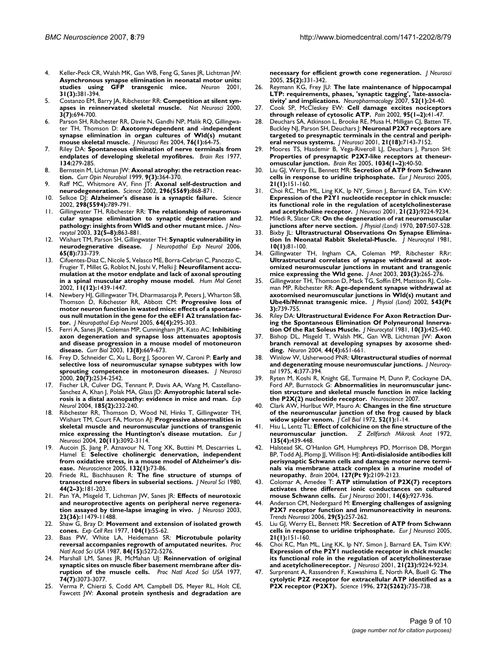- 4. Keller-Peck CR, Walsh MK, Gan WB, Feng G, Sanes JR, Lichtman JW: **[Asynchronous synapse elimination in neonatal motor units:](http://www.ncbi.nlm.nih.gov/entrez/query.fcgi?cmd=Retrieve&db=PubMed&dopt=Abstract&list_uids=11516396)** studies using **GFP** transgenic mice. **31(3):**381-394.
- 5. Costanzo EM, Barry JA, Ribchester RR: **[Competition at silent syn](http://www.ncbi.nlm.nih.gov/entrez/query.fcgi?cmd=Retrieve&db=PubMed&dopt=Abstract&list_uids=10862702)[apses in reinnervated skeletal muscle.](http://www.ncbi.nlm.nih.gov/entrez/query.fcgi?cmd=Retrieve&db=PubMed&dopt=Abstract&list_uids=10862702)** *Nat Neurosci* 2000, **3(7):**694-700.
- 6. Parson SH, Ribchester RR, Davie N, Gandhi NP, Malik RQ, Gillingwater TH, Thomson D: **[Axotomy-dependent and -independent](http://www.ncbi.nlm.nih.gov/entrez/query.fcgi?cmd=Retrieve&db=PubMed&dopt=Abstract&list_uids=15048930) [synapse elimination in organ cultures of Wld\(s\) mutant](http://www.ncbi.nlm.nih.gov/entrez/query.fcgi?cmd=Retrieve&db=PubMed&dopt=Abstract&list_uids=15048930) [mouse skeletal muscle.](http://www.ncbi.nlm.nih.gov/entrez/query.fcgi?cmd=Retrieve&db=PubMed&dopt=Abstract&list_uids=15048930)** *J Neurosci Res* 2004, **76(1):**64-75.
- 7. Riley DA: **[Spontaneous elimination of nerve terminals from](http://www.ncbi.nlm.nih.gov/entrez/query.fcgi?cmd=Retrieve&db=PubMed&dopt=Abstract&list_uids=890492) [endplates of developing skeletal myofibres.](http://www.ncbi.nlm.nih.gov/entrez/query.fcgi?cmd=Retrieve&db=PubMed&dopt=Abstract&list_uids=890492)** *Brain Res* 1977, **134:**279-285.
- 8. Bernstein M, Lichtman JW: **[Axonal atrophy: the retraction reac](http://www.ncbi.nlm.nih.gov/entrez/query.fcgi?cmd=Retrieve&db=PubMed&dopt=Abstract&list_uids=10395581)[tion.](http://www.ncbi.nlm.nih.gov/entrez/query.fcgi?cmd=Retrieve&db=PubMed&dopt=Abstract&list_uids=10395581)** *Curr Opin Neurobiol* 1999, **9(3):**364-370.
- Raff MC, Whitmore AV, Finn JT: [Axonal self-destruction and](http://www.ncbi.nlm.nih.gov/entrez/query.fcgi?cmd=Retrieve&db=PubMed&dopt=Abstract&list_uids=11988563) **[neurodegeneration.](http://www.ncbi.nlm.nih.gov/entrez/query.fcgi?cmd=Retrieve&db=PubMed&dopt=Abstract&list_uids=11988563)** *Science* 2002, **296(5569):**868-871.
- 10. Selkoe DJ: **[Alzheimer's disease is a synaptic failure.](http://www.ncbi.nlm.nih.gov/entrez/query.fcgi?cmd=Retrieve&db=PubMed&dopt=Abstract&list_uids=12399581)** *Science* 2002, **298(5594):**789-791.
- 11. Gillingwater TH, Ribchester RR: **[The relationship of neuromus](http://www.ncbi.nlm.nih.gov/entrez/query.fcgi?cmd=Retrieve&db=PubMed&dopt=Abstract&list_uids=15034273)[cular synapse elimination to synaptic degeneration and](http://www.ncbi.nlm.nih.gov/entrez/query.fcgi?cmd=Retrieve&db=PubMed&dopt=Abstract&list_uids=15034273) [pathology: insights from WldS and other mutant mice.](http://www.ncbi.nlm.nih.gov/entrez/query.fcgi?cmd=Retrieve&db=PubMed&dopt=Abstract&list_uids=15034273)** *J Neurocytol* 2003, **32(5–8):**863-881.
- 12. Wishart TM, Parson SH, Gillingwater TH: **[Synaptic vulnerability in](http://www.ncbi.nlm.nih.gov/entrez/query.fcgi?cmd=Retrieve&db=PubMed&dopt=Abstract&list_uids=16896307) [neurodegnerative disease.](http://www.ncbi.nlm.nih.gov/entrez/query.fcgi?cmd=Retrieve&db=PubMed&dopt=Abstract&list_uids=16896307)** *J Neuropathol Exp Neurol* 2006, **65(8):**733-739.
- 13. Cifuentes-Diaz C, Nicole S, Velasco ME, Borra-Cebrian C, Panozzo C, Frugier T, Millet G, Roblot N, Joshi V, Melki J: **[Neurofilament accu](http://www.ncbi.nlm.nih.gov/entrez/query.fcgi?cmd=Retrieve&db=PubMed&dopt=Abstract&list_uids=12023986)[mulation at the motor endplate and lack of axonal sprouting](http://www.ncbi.nlm.nih.gov/entrez/query.fcgi?cmd=Retrieve&db=PubMed&dopt=Abstract&list_uids=12023986) [in a spinal muscular atrophy mouse model.](http://www.ncbi.nlm.nih.gov/entrez/query.fcgi?cmd=Retrieve&db=PubMed&dopt=Abstract&list_uids=12023986)** *Hum Mol Genet* 2002, **11(12):**1439-1447.
- 14. Newbery HJ, Gillingwater TH, Dharmasaroja P, Peters J, Wharton SB, Thomson D, Ribchester RR, Abbott CM: **[Progressive loss of](http://www.ncbi.nlm.nih.gov/entrez/query.fcgi?cmd=Retrieve&db=PubMed&dopt=Abstract&list_uids=15835265) [motor neuron function in wasted mice: effects of a spontane](http://www.ncbi.nlm.nih.gov/entrez/query.fcgi?cmd=Retrieve&db=PubMed&dopt=Abstract&list_uids=15835265)ous null mutation in the gene for the eEF1 A2 translation fac[tor.](http://www.ncbi.nlm.nih.gov/entrez/query.fcgi?cmd=Retrieve&db=PubMed&dopt=Abstract&list_uids=15835265)** *J Neuropathol Exp Neurol* 2005, **64(4):**295-303.
- 15. Ferri A, Sanes JR, Coleman MP, Cunningham JM, Kato AC: **[Inhibiting](http://www.ncbi.nlm.nih.gov/entrez/query.fcgi?cmd=Retrieve&db=PubMed&dopt=Abstract&list_uids=12699624) [axon degeneration and synapse loss attenuates apoptosis](http://www.ncbi.nlm.nih.gov/entrez/query.fcgi?cmd=Retrieve&db=PubMed&dopt=Abstract&list_uids=12699624) and disease progression in a mouse model of motoneuron [disease.](http://www.ncbi.nlm.nih.gov/entrez/query.fcgi?cmd=Retrieve&db=PubMed&dopt=Abstract&list_uids=12699624)** *Curr Biol* 2003, **13(8):**669-673.
- 16. Frey D, Schneider C, Xu L, Borg J, Spooren W, Caroni P: **[Early and](http://www.ncbi.nlm.nih.gov/entrez/query.fcgi?cmd=Retrieve&db=PubMed&dopt=Abstract&list_uids=10729333) [selective loss of neuromuscular synapse subtypes with low](http://www.ncbi.nlm.nih.gov/entrez/query.fcgi?cmd=Retrieve&db=PubMed&dopt=Abstract&list_uids=10729333) [sprouting competence in motoneuron diseases.](http://www.ncbi.nlm.nih.gov/entrez/query.fcgi?cmd=Retrieve&db=PubMed&dopt=Abstract&list_uids=10729333)** *J Neurosci* 2000, **20(7):**2534-2542.
- 17. Fischer LR, Culver DG, Tennant P, Davis AA, Wang M, Castellano-Sanchez A, Khan J, Polak MA, Glass JD: **[Amyotrophic lateral scle](http://www.ncbi.nlm.nih.gov/entrez/query.fcgi?cmd=Retrieve&db=PubMed&dopt=Abstract&list_uids=14736504)[rosis is a distal axonopathy: evidence in mice and man.](http://www.ncbi.nlm.nih.gov/entrez/query.fcgi?cmd=Retrieve&db=PubMed&dopt=Abstract&list_uids=14736504)** *Exp Neurol* 2004, **185(2):**232-240.
- Ribchester RR, Thomson D, Wood NI, Hinks T, Gillingwater TH, Wishart TM, Court FA, Morton AJ: **[Progressive abnormalities in](http://www.ncbi.nlm.nih.gov/entrez/query.fcgi?cmd=Retrieve&db=PubMed&dopt=Abstract&list_uids=15579164) [skeletal muscle and neuromuscular junctions of transgenic](http://www.ncbi.nlm.nih.gov/entrez/query.fcgi?cmd=Retrieve&db=PubMed&dopt=Abstract&list_uids=15579164) [mice expressing the Huntington's disease mutation.](http://www.ncbi.nlm.nih.gov/entrez/query.fcgi?cmd=Retrieve&db=PubMed&dopt=Abstract&list_uids=15579164)** *Eur J Neurosci* 2004, **20(11):**3092-3114.
- 19. Aucoin JS, Jiang P, Aznavour N, Tong XK, Buttini M, Descarries L, Hamel E: **[Selective cholinergic denervation, independent](http://www.ncbi.nlm.nih.gov/entrez/query.fcgi?cmd=Retrieve&db=PubMed&dopt=Abstract&list_uids=15780468) [from oxidative stress, in a mouse model of Alzheimer's dis](http://www.ncbi.nlm.nih.gov/entrez/query.fcgi?cmd=Retrieve&db=PubMed&dopt=Abstract&list_uids=15780468)[ease.](http://www.ncbi.nlm.nih.gov/entrez/query.fcgi?cmd=Retrieve&db=PubMed&dopt=Abstract&list_uids=15780468)** *Neuroscience* 2005, **132(1):**73-86.
- 20. Friede RL, Bischhausen R: **[The fine structure of stumps of](http://www.ncbi.nlm.nih.gov/entrez/query.fcgi?cmd=Retrieve&db=PubMed&dopt=Abstract&list_uids=7188775) [transected nerve fibers in subserial sections.](http://www.ncbi.nlm.nih.gov/entrez/query.fcgi?cmd=Retrieve&db=PubMed&dopt=Abstract&list_uids=7188775)** *J Neurol Sci* 1980, **44(2–3):**181-203.
- 21. Pan YA, Misgeld T, Lichtman JW, Sanes JR: **[Effects of neurotoxic](http://www.ncbi.nlm.nih.gov/entrez/query.fcgi?cmd=Retrieve&db=PubMed&dopt=Abstract&list_uids=14673013) [and neuroprotective agents on peripheral nerve regenera](http://www.ncbi.nlm.nih.gov/entrez/query.fcgi?cmd=Retrieve&db=PubMed&dopt=Abstract&list_uids=14673013)[tion assayed by time-lapse imaging in vivo.](http://www.ncbi.nlm.nih.gov/entrez/query.fcgi?cmd=Retrieve&db=PubMed&dopt=Abstract&list_uids=14673013)** *J Neurosci* 2003, **23(36):**11479-11488.
- 22. Shaw G, Bray D: **[Movement and extension of isolated growth](http://www.ncbi.nlm.nih.gov/entrez/query.fcgi?cmd=Retrieve&db=PubMed&dopt=Abstract&list_uids=556695) [cones.](http://www.ncbi.nlm.nih.gov/entrez/query.fcgi?cmd=Retrieve&db=PubMed&dopt=Abstract&list_uids=556695)** *Exp Cell Res* 1977, **104(1):**55-62.
- 23. Baas PW, White LA, Heidemann SR: **[Microtubule polarity](http://www.ncbi.nlm.nih.gov/entrez/query.fcgi?cmd=Retrieve&db=PubMed&dopt=Abstract&list_uids=3299383) [reversal accompanies regrowth of amputated neurites.](http://www.ncbi.nlm.nih.gov/entrez/query.fcgi?cmd=Retrieve&db=PubMed&dopt=Abstract&list_uids=3299383)** *Proc Natl Acad Sci USA* 1987, **84(15):**5272-5276.
- 24. Marshall LM, Sanes JR, McMahan UJ: **[Reinnervation of original](http://www.ncbi.nlm.nih.gov/entrez/query.fcgi?cmd=Retrieve&db=PubMed&dopt=Abstract&list_uids=302451) [synaptic sites on muscle fiber basement membrane after dis](http://www.ncbi.nlm.nih.gov/entrez/query.fcgi?cmd=Retrieve&db=PubMed&dopt=Abstract&list_uids=302451)[ruption of the muscle cells.](http://www.ncbi.nlm.nih.gov/entrez/query.fcgi?cmd=Retrieve&db=PubMed&dopt=Abstract&list_uids=302451)** *Proc Natl Acad Sci USA* 1977, **74(7):**3073-3077.
- 25. Verma P, Chierzi S, Codd AM, Campbell DS, Meyer RL, Holt CE, Fawcett JW: **[Axonal protein synthesis and degradation are](http://www.ncbi.nlm.nih.gov/entrez/query.fcgi?cmd=Retrieve&db=PubMed&dopt=Abstract&list_uids=15647476)**

**[necessary for efficient growth cone regeneration.](http://www.ncbi.nlm.nih.gov/entrez/query.fcgi?cmd=Retrieve&db=PubMed&dopt=Abstract&list_uids=15647476)** *J Neurosci* 2005, **25(2):**331-342.

- 26. Reymann KG, Frey JU: **[The late maintenance of hippocampal](http://www.ncbi.nlm.nih.gov/entrez/query.fcgi?cmd=Retrieve&db=PubMed&dopt=Abstract&list_uids=16919684) [LTP: requirements, phases, 'synaptic tagging', 'late-associa](http://www.ncbi.nlm.nih.gov/entrez/query.fcgi?cmd=Retrieve&db=PubMed&dopt=Abstract&list_uids=16919684)[tivity' and implications.](http://www.ncbi.nlm.nih.gov/entrez/query.fcgi?cmd=Retrieve&db=PubMed&dopt=Abstract&list_uids=16919684)** *Neuropharmacology* 2007, **52(1):**24-40.
- 27. Cook SP, McCleskey EW: [Cell damage excites nociceptors](http://www.ncbi.nlm.nih.gov/entrez/query.fcgi?cmd=Retrieve&db=PubMed&dopt=Abstract&list_uids=11790466) **[through release of cytosolic ATP.](http://www.ncbi.nlm.nih.gov/entrez/query.fcgi?cmd=Retrieve&db=PubMed&dopt=Abstract&list_uids=11790466)** *Pain* 2002, **95(1–2):**41-47.
- Deuchars SA, Atkinson L, Brooke RE, Musa H, Milligan CJ, Batten TF, Buckley NJ, Parson SH, Deuchars J: **[Neuronal P2X7 receptors are](http://www.ncbi.nlm.nih.gov/entrez/query.fcgi?cmd=Retrieve&db=PubMed&dopt=Abstract&list_uids=11549725) [targeted to presynaptic terminals in the central and periph](http://www.ncbi.nlm.nih.gov/entrez/query.fcgi?cmd=Retrieve&db=PubMed&dopt=Abstract&list_uids=11549725)[eral nervous systems.](http://www.ncbi.nlm.nih.gov/entrez/query.fcgi?cmd=Retrieve&db=PubMed&dopt=Abstract&list_uids=11549725)** *J Neurosci* 2001, **21(18):**7143-7152.
- 29. Moores TS, Hasdemir B, Vega-Riveroll LJ, Deuchars J, Parson SH: **[Properties of presynaptic P2X7-like receptors at theneur](http://www.ncbi.nlm.nih.gov/entrez/query.fcgi?cmd=Retrieve&db=PubMed&dopt=Abstract&list_uids=15713258)[omuscular junction.](http://www.ncbi.nlm.nih.gov/entrez/query.fcgi?cmd=Retrieve&db=PubMed&dopt=Abstract&list_uids=15713258)** *Brain Res* 2005, **1034(1–2):**40-50.
- 30. Liu GJ, Werry EL, Bennett MR: **[Secretion of ATP from Schwann](http://www.ncbi.nlm.nih.gov/entrez/query.fcgi?cmd=Retrieve&db=PubMed&dopt=Abstract&list_uids=15654852) [cells in response to uridine triphosphate.](http://www.ncbi.nlm.nih.gov/entrez/query.fcgi?cmd=Retrieve&db=PubMed&dopt=Abstract&list_uids=15654852)** *Eur J Neurosci* 2005, **21(1):**151-160.
- 31. Choi RC, Man ML, Ling KK, Ip NY, Simon J, Barnard EA, Tsim KW: **[Expression of the P2Y1 nucleotide receptor in chick muscle:](http://www.ncbi.nlm.nih.gov/entrez/query.fcgi?cmd=Retrieve&db=PubMed&dopt=Abstract&list_uids=11717356) its functional role in the regulation of acetylcholinesterase [and acetylcholine receptor.](http://www.ncbi.nlm.nih.gov/entrez/query.fcgi?cmd=Retrieve&db=PubMed&dopt=Abstract&list_uids=11717356)** *J Neurosci* 2001, **21(23):**9224-9234.
- 32. Miledi R, Slater CR: **[On the degeneration of rat neuromuscular](http://www.ncbi.nlm.nih.gov/entrez/query.fcgi?cmd=Retrieve&db=PubMed&dopt=Abstract&list_uids=5499034) [junctions after nerve section.](http://www.ncbi.nlm.nih.gov/entrez/query.fcgi?cmd=Retrieve&db=PubMed&dopt=Abstract&list_uids=5499034)** *J Physiol (Lond)* 1970, **207:**507-528.
- 33. Bixby JL: **[Ultrastructural Observations On Synapse Elimina](http://www.ncbi.nlm.nih.gov/entrez/query.fcgi?cmd=Retrieve&db=PubMed&dopt=Abstract&list_uids=7310447)[tion In Neonatal Rabbit Skeletal-Muscle.](http://www.ncbi.nlm.nih.gov/entrez/query.fcgi?cmd=Retrieve&db=PubMed&dopt=Abstract&list_uids=7310447)** *J Neurocytol* 1981, **10(1):**81-100.
- Gillingwater TH, Ingham CA, Coleman MP, Ribchester RRr: **[Ultrastructural correlates of synapse withdrawal at axot](http://www.ncbi.nlm.nih.gov/entrez/query.fcgi?cmd=Retrieve&db=PubMed&dopt=Abstract&list_uids=14529044)omized neuromuscular junctions in mutant and transgenic [mice expressing the Wld gene.](http://www.ncbi.nlm.nih.gov/entrez/query.fcgi?cmd=Retrieve&db=PubMed&dopt=Abstract&list_uids=14529044)** *J Anat* 2003, **203(3):**265-276.
- Gillingwater TH, Thomson D, Mack TG, Soffin EM, Mattison RJ, Coleman MP, Ribchester RR: **[Age-dependent synapse withdrawal at](http://www.ncbi.nlm.nih.gov/entrez/query.fcgi?cmd=Retrieve&db=PubMed&dopt=Abstract&list_uids=12231635) [axotomised neuromuscular junctions in Wld\(s\) mutant and](http://www.ncbi.nlm.nih.gov/entrez/query.fcgi?cmd=Retrieve&db=PubMed&dopt=Abstract&list_uids=12231635) [Ube4b/Nmnat transgenic mice.](http://www.ncbi.nlm.nih.gov/entrez/query.fcgi?cmd=Retrieve&db=PubMed&dopt=Abstract&list_uids=12231635)** *J Physiol (Lond)* 2002, **543(Pt 3):**739-755.
- 36. Riley DA: **[Ultrastructural Evidence For Axon Retraction Dur](http://www.ncbi.nlm.nih.gov/entrez/query.fcgi?cmd=Retrieve&db=PubMed&dopt=Abstract&list_uids=7310460)[ing the Spontaneous Elimination Of Polyneuronal Innerva](http://www.ncbi.nlm.nih.gov/entrez/query.fcgi?cmd=Retrieve&db=PubMed&dopt=Abstract&list_uids=7310460)[tion Of the Rat Soleus Muscle.](http://www.ncbi.nlm.nih.gov/entrez/query.fcgi?cmd=Retrieve&db=PubMed&dopt=Abstract&list_uids=7310460)** *J Neurocytol* 1981, **10(3):**425-440.
- 37. Bishop DL, Misgeld T, Walsh MK, Gan WB, Lichtman JW: **[Axon](http://www.ncbi.nlm.nih.gov/entrez/query.fcgi?cmd=Retrieve&db=PubMed&dopt=Abstract&list_uids=15541313) [branch removal at developing synapses by axosome shed](http://www.ncbi.nlm.nih.gov/entrez/query.fcgi?cmd=Retrieve&db=PubMed&dopt=Abstract&list_uids=15541313)[ding.](http://www.ncbi.nlm.nih.gov/entrez/query.fcgi?cmd=Retrieve&db=PubMed&dopt=Abstract&list_uids=15541313)** *Neuron* 2004, **44(4):**651-661.
- 38. Winlow W, Usherwood PNR: **[Ultrastructural studies of normal](http://www.ncbi.nlm.nih.gov/entrez/query.fcgi?cmd=Retrieve&db=PubMed&dopt=Abstract&list_uids=1151436) [and degenerating mouse neuromuscular junctions.](http://www.ncbi.nlm.nih.gov/entrez/query.fcgi?cmd=Retrieve&db=PubMed&dopt=Abstract&list_uids=1151436)** *J Neurocytol* 1975, **4:**377-394.
- 39. Ryten M, Koshi R, Knight GE, Turmaine M, Dunn P, Cockayne DA, Ford AP, Burnstock G: **[Abnormalities in neuromuscular junc](http://www.ncbi.nlm.nih.gov/entrez/query.fcgi?cmd=Retrieve&db=PubMed&dopt=Abstract&list_uids=17706883)[tion structure and skeletal muscle function in mice lacking](http://www.ncbi.nlm.nih.gov/entrez/query.fcgi?cmd=Retrieve&db=PubMed&dopt=Abstract&list_uids=17706883) [the P2X\(2\) nucleotide receptor.](http://www.ncbi.nlm.nih.gov/entrez/query.fcgi?cmd=Retrieve&db=PubMed&dopt=Abstract&list_uids=17706883)** *Neuroscience* 2007.
- 40. Clark AW, Hurlbut WP, Mauro A: **[Changes in the fine structure](http://www.ncbi.nlm.nih.gov/entrez/query.fcgi?cmd=Retrieve&db=PubMed&dopt=Abstract&list_uids=4536612) [of the neuromuscular junction of the frog caused by black](http://www.ncbi.nlm.nih.gov/entrez/query.fcgi?cmd=Retrieve&db=PubMed&dopt=Abstract&list_uids=4536612) [widow spider venom.](http://www.ncbi.nlm.nih.gov/entrez/query.fcgi?cmd=Retrieve&db=PubMed&dopt=Abstract&list_uids=4536612)** *J Cell Biol* 1972, **52(1):**1-14.
- 41. Hsu L, Lentz TL: **[Effect of colchicine on the fine structure of the](http://www.ncbi.nlm.nih.gov/entrez/query.fcgi?cmd=Retrieve&db=PubMed&dopt=Abstract&list_uids=4346118) [neuromuscular junction.](http://www.ncbi.nlm.nih.gov/entrez/query.fcgi?cmd=Retrieve&db=PubMed&dopt=Abstract&list_uids=4346118)** *Z Zellforsch Mikrosk Anat* 1972, **135(4):**439-448.
- 42. Halstead SK, O'Hanlon GM, Humphreys PD, Morrison DB, Morgan BP, Todd AJ, Plomp JJ, Willison HJ: **[Anti-disialoside antibodies kill](http://www.ncbi.nlm.nih.gov/entrez/query.fcgi?cmd=Retrieve&db=PubMed&dopt=Abstract&list_uids=15289269) [perisynaptic Schwann cells and damage motor nerve termi](http://www.ncbi.nlm.nih.gov/entrez/query.fcgi?cmd=Retrieve&db=PubMed&dopt=Abstract&list_uids=15289269)nals via membrane attack complex in a murine model of [neuropathy.](http://www.ncbi.nlm.nih.gov/entrez/query.fcgi?cmd=Retrieve&db=PubMed&dopt=Abstract&list_uids=15289269)** *Brain* 2004, **127(Pt 9):**2109-2123.
- 43. Colomar A, Amedee T: **[ATP stimulation of P2X\(7\) receptors](http://www.ncbi.nlm.nih.gov/entrez/query.fcgi?cmd=Retrieve&db=PubMed&dopt=Abstract&list_uids=11595031) [activates three different ionic conductances on cultured](http://www.ncbi.nlm.nih.gov/entrez/query.fcgi?cmd=Retrieve&db=PubMed&dopt=Abstract&list_uids=11595031) [mouse Schwann cells.](http://www.ncbi.nlm.nih.gov/entrez/query.fcgi?cmd=Retrieve&db=PubMed&dopt=Abstract&list_uids=11595031)** *Eur J Neurosci* 2001, **14(6):**927-936.
- 44. Anderson CM, Nedergaard M: **[Emerging challenges of assigning](http://www.ncbi.nlm.nih.gov/entrez/query.fcgi?cmd=Retrieve&db=PubMed&dopt=Abstract&list_uids=16564580) [P2X7 receptor function and immunoreactivity in neurons.](http://www.ncbi.nlm.nih.gov/entrez/query.fcgi?cmd=Retrieve&db=PubMed&dopt=Abstract&list_uids=16564580)** *Trends Neurosci* 2006, **29(5):**257-262.
- 45. Liu GJ, Werry EL, Bennett MR: **[Secretion of ATP from Schwann](http://www.ncbi.nlm.nih.gov/entrez/query.fcgi?cmd=Retrieve&db=PubMed&dopt=Abstract&list_uids=15654852) [cells in response to uridine triphosphate.](http://www.ncbi.nlm.nih.gov/entrez/query.fcgi?cmd=Retrieve&db=PubMed&dopt=Abstract&list_uids=15654852)** *Eur J Neurosci* 2005, **21(1):**151-160.
- 46. Choi RC, Man ML, Ling KK, Ip NY, Simon J, Barnard EA, Tsim KW: **[Expression of the P2Y1 nucleotide receptor in chick muscle:](http://www.ncbi.nlm.nih.gov/entrez/query.fcgi?cmd=Retrieve&db=PubMed&dopt=Abstract&list_uids=11717356) its functional role in the regulation of acetylcholinesterase [and acetylcholinereceptor.](http://www.ncbi.nlm.nih.gov/entrez/query.fcgi?cmd=Retrieve&db=PubMed&dopt=Abstract&list_uids=11717356)** *J Neurosci* 2001, **21(23):**9224-9234.
- 47. Surprenant A, Rassendren F, Kawashima E, North RA, Buell G: **[The](http://www.ncbi.nlm.nih.gov/entrez/query.fcgi?cmd=Retrieve&db=PubMed&dopt=Abstract&list_uids=8614837) [cytolytic P2Z receptor for extracellular ATP identified as a](http://www.ncbi.nlm.nih.gov/entrez/query.fcgi?cmd=Retrieve&db=PubMed&dopt=Abstract&list_uids=8614837) [P2X receptor \(P2X7\).](http://www.ncbi.nlm.nih.gov/entrez/query.fcgi?cmd=Retrieve&db=PubMed&dopt=Abstract&list_uids=8614837)** *Science* 1996, **272(5262):**735-738.